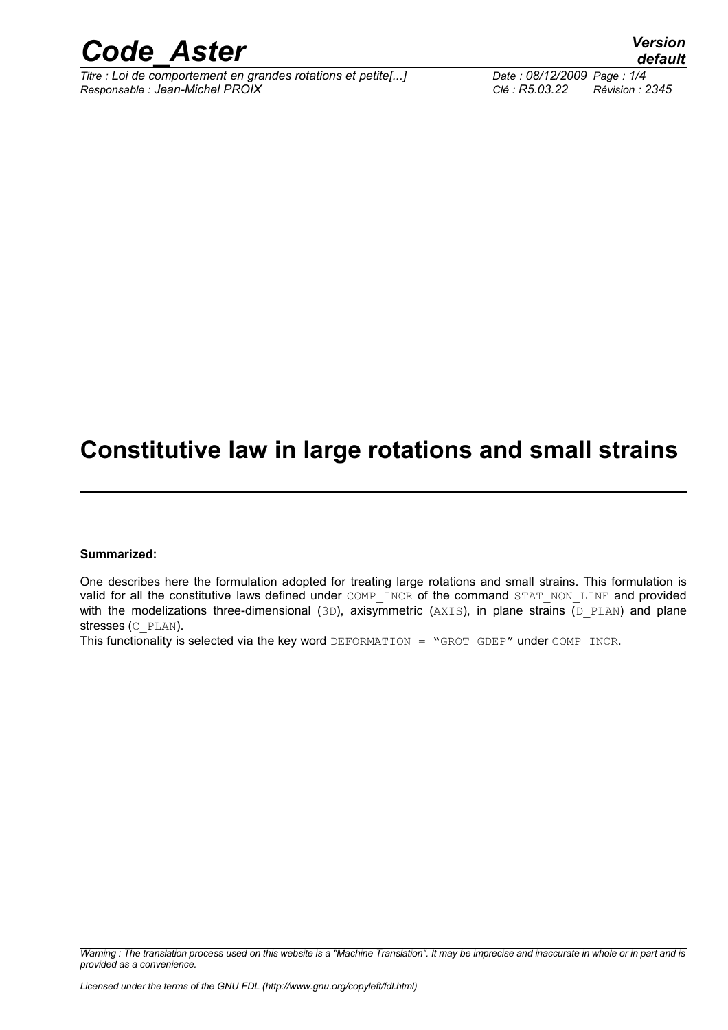

*Titre : Loi de comportement en grandes rotations et petite[...] Date : 08/12/2009 Page : 1/4 Responsable : Jean-Michel PROIX Clé : R5.03.22 Révision : 2345*

*default*

## **Constitutive law in large rotations and small strains**

#### **Summarized:**

One describes here the formulation adopted for treating large rotations and small strains. This formulation is valid for all the constitutive laws defined under COMP\_INCR of the command STAT\_NON\_LINE and provided with the modelizations three-dimensional  $(3D)$ , axisymmetric  $(AXIS)$ , in plane strains  $(D. PLAN)$  and plane stresses (C\_PLAN).

This functionality is selected via the key word DEFORMATION = "GROT GDEP" under COMP\_INCR.

*Warning : The translation process used on this website is a "Machine Translation". It may be imprecise and inaccurate in whole or in part and is provided as a convenience.*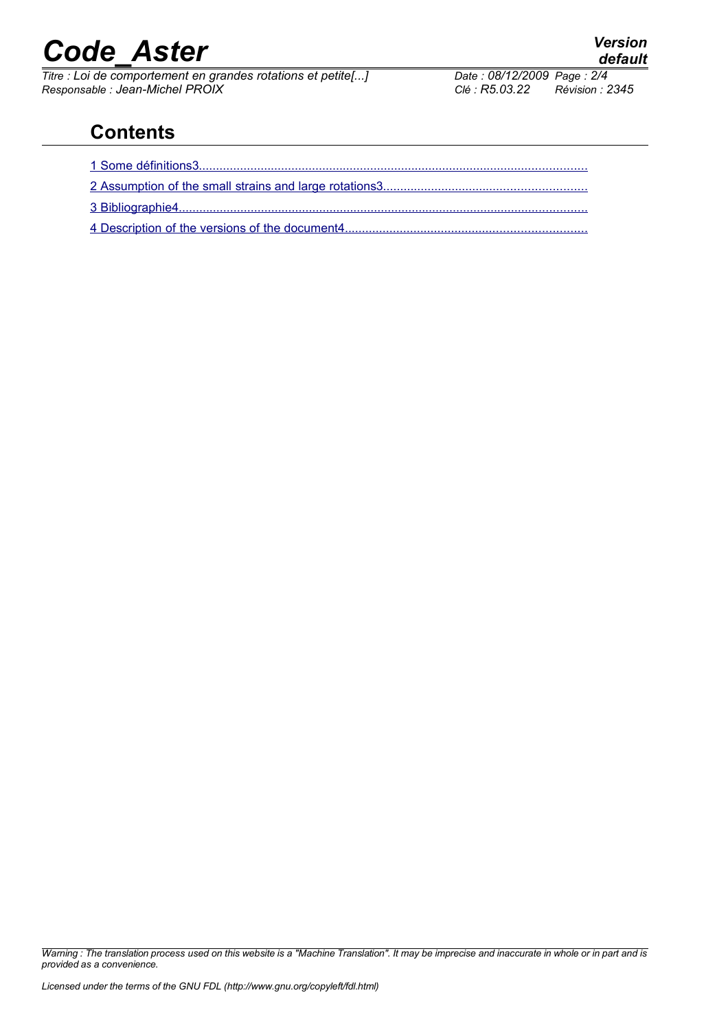# *Code\_Aster Version*

*Titre : Loi de comportement en grandes rotations et petite[...] Date : 08/12/2009 Page : 2/4 Responsable : Jean-Michel PROIX Clé : R5.03.22 Révision : 2345*

### **Contents**

*Warning : The translation process used on this website is a "Machine Translation". It may be imprecise and inaccurate in whole or in part and is provided as a convenience.*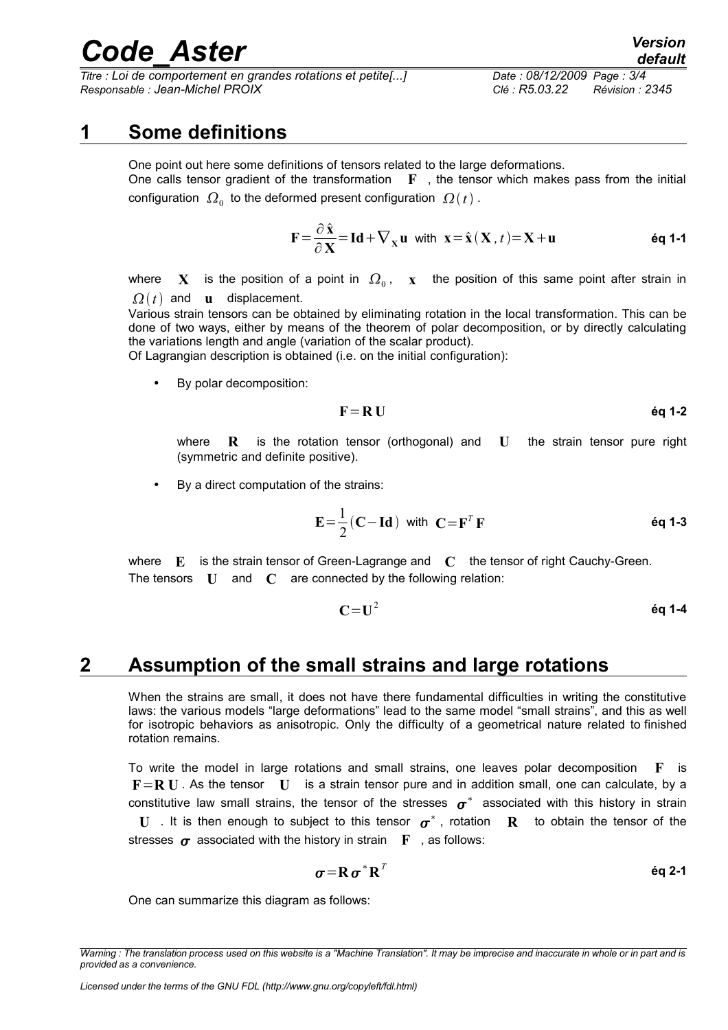# *Code\_Aster Version*

*Titre : Loi de comportement en grandes rotations et petite[...] Date : 08/12/2009 Page : 3/4 Responsable : Jean-Michel PROIX Clé : R5.03.22 Révision : 2345*

#### **1 Some definitions**

<span id="page-2-0"></span>One point out here some definitions of tensors related to the large deformations. One calls tensor gradient of the transformation **F** , the tensor which makes pass from the initial configuration  $\ket{\Omega_0}$  to the deformed present configuration  $\ket{\Omega(t)}$  .

$$
\mathbf{F} = \frac{\partial \hat{\mathbf{x}}}{\partial \mathbf{X}} = \mathbf{Id} + \nabla_{\mathbf{x}} \mathbf{u} \text{ with } \mathbf{x} = \hat{\mathbf{x}} \left( \mathbf{X}, t \right) = \mathbf{X} + \mathbf{u} \qquad \text{Eq 1-1}
$$

where  $\;\mathbf{X}\;$  is the position of a point in  $\;\Omega_{_0}\;\!$ ,  $\;\mathbf{x}\;$  the position of this same point after strain in  $\Omega(t)$  and **u** displacement.

Various strain tensors can be obtained by eliminating rotation in the local transformation. This can be done of two ways, either by means of the theorem of polar decomposition, or by directly calculating the variations length and angle (variation of the scalar product).

Of Lagrangian description is obtained (i.e. on the initial configuration):

• By polar decomposition:

$$
F = R U \qquad \qquad \text{6q 1-2}
$$

where **R** is the rotation tensor (orthogonal) and **U** the strain tensor pure right (symmetric and definite positive).

By a direct computation of the strains:

$$
\mathbf{E} = \frac{1}{2} (\mathbf{C} - \mathbf{Id}) \text{ with } \mathbf{C} = \mathbf{F}^T \mathbf{F} \tag{6d 1-3}
$$

where **E** is the strain tensor of Green-Lagrange and **C** the tensor of right Cauchy-Green. The tensors **U** and **C** are connected by the following relation:

**C**=**U** 2 **éq 1-4**

#### **2 Assumption of the small strains and large rotations**

<span id="page-2-1"></span>When the strains are small, it does not have there fundamental difficulties in writing the constitutive laws: the various models "large deformations" lead to the same model "small strains", and this as well for isotropic behaviors as anisotropic. Only the difficulty of a geometrical nature related to finished rotation remains.

To write the model in large rotations and small strains, one leaves polar decomposition **F** is **F**=**R U** . As the tensor **U** is a strain tensor pure and in addition small, one can calculate, by a constitutive law small strains, the tensor of the stresses  $\,\bm{\sigma}^*$  associated with this history in strain **U** . It is then enough to subject to this tensor  $\sigma^*$  , rotation **R** to obtain the tensor of the stresses  $\sigma$  associated with the history in strain **F** , as follows:

$$
\boldsymbol{\sigma} = \mathbf{R} \, \boldsymbol{\sigma}^* \, \mathbf{R}^T
$$

One can summarize this diagram as follows:

*Warning : The translation process used on this website is a "Machine Translation". It may be imprecise and inaccurate in whole or in part and is provided as a convenience.*